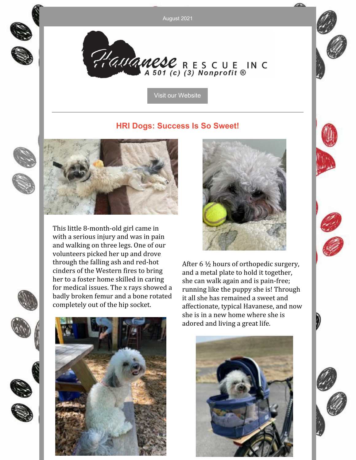August 2021



Plauanese RESCUE INC

Visit our [Website](http://havaneserescue.com)

#### **HRI Dogs: Success Is So Sweet!**





This little 8-month-old girl came in with a serious injury and was in pain and walking on three legs. One of our volunteers picked her up and drove through the falling ash and red-hot cinders of the Western fires to bring her to a foster home skilled in caring for medical issues. The x rays showed a badly broken femur and a bone rotated completely out of the hip socket.





After 6 ½ hours of orthopedic surgery, and a metal plate to hold it together, she can walk again and is pain-free; running like the puppy she is! Through it all she has remained a sweet and affectionate, typical Havanese, and now she is in a new home where she is adored and living a great life.



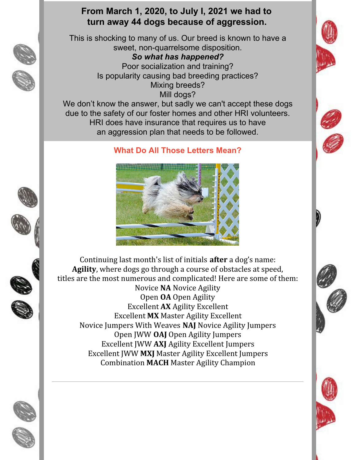## **From March 1, 2020, to July I, 2021 we had to turn away 44 dogs because of aggression.**

This is shocking to many of us. Our breed is known to have a sweet, non-quarrelsome disposition. *So what has happened?*

Poor socialization and training? Is popularity causing bad breeding practices? Mixing breeds? Mill dogs?

We don't know the answer, but sadly we can't accept these dogs due to the safety of our foster homes and other HRI volunteers. HRI does have insurance that requires us to have an aggression plan that needs to be followed.

### **What Do All Those Letters Mean?**



Continuing last month's list of initials **after** a dog's name: **Agility**, where dogs go through a course of obstacles at speed, titles are the most numerous and complicated! Here are some of them: Novice **NA** Novice Agility Open **OA** Open Agility Excellent **AX** Agility Excellent Excellent **MX** Master Agility Excellent Novice Jumpers With Weaves **NAJ** Novice Agility Jumpers Open JWW **OAJ** Open Agility Jumpers Excellent JWW **AXJ** Agility Excellent Jumpers Excellent JWW **MXJ** Master Agility Excellent Jumpers Combination **MACH** Master Agility Champion



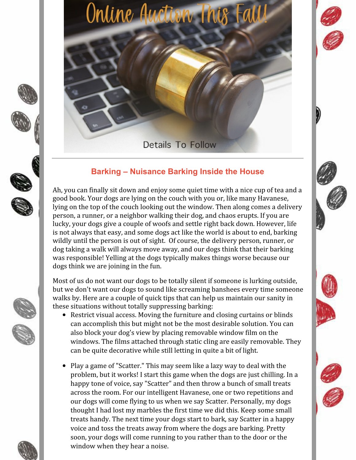







Online Auction 1

# **Barking – Nuisance Barking Inside the House**

Ah, you can finally sit down and enjoy some quiet time with a nice cup of tea and a good book. Your dogs are lying on the couch with you or, like many Havanese, lying on the top of the couch looking out the window. Then along comes a delivery person, a runner, or a neighbor walking their dog, and chaos erupts. If you are lucky, your dogs give a couple of woofs and settle right back down. However, life is not always that easy, and some dogs act like the world is about to end, barking wildly until the person is out of sight. Of course, the delivery person, runner, or dog taking a walk will always move away, and our dogs think that their barking was responsible! Yelling at the dogs typically makes things worse because our dogs think we are joining in the fun.

Most of us do not want our dogs to be totally silent if someone is lurking outside, but we don't want our dogs to sound like screaming banshees every time someone walks by. Here are a couple of quick tips that can help us maintain our sanity in these situations without totally suppressing barking:

- Restrict visual access. Moving the furniture and closing curtains or blinds can accomplish this but might not be the most desirable solution. You can also block your dog's view by placing removable window film on the windows. The films attached through static cling are easily removable. They can be quite decorative while still letting in quite a bit of light.
- Play a game of "Scatter." This may seem like a lazy way to deal with the problem, but it works! I start this game when the dogs are just chilling. In a happy tone of voice, say "Scatter" and then throw a bunch of small treats across the room. For our intelligent Havanese, one or two repetitions and our dogs will come flying to us when we say Scatter. Personally, my dogs thought I had lost my marbles the first time we did this. Keep some small treats handy. The next time your dogs start to bark, say Scatter in a happy voice and toss the treats away from where the dogs are barking. Pretty soon, your dogs will come running to you rather than to the door or the window when they hear a noise.



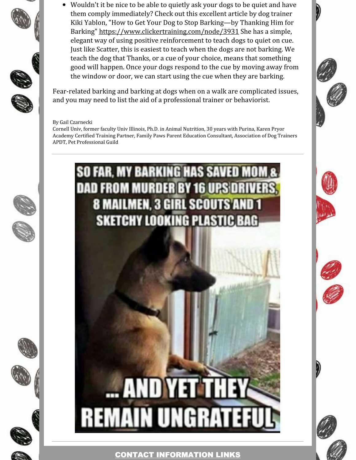Wouldn't it be nice to be able to quietly ask your dogs to be quiet and have them comply immediately? Check out this excellent article by dog trainer Kiki Yablon, "How to Get Your Dog to Stop Barking—by Thanking Him for Barking" <https://www.clickertraining.com/node/3931> She has a simple, elegant way of using positive reinforcement to teach dogs to quiet on cue. Just like Scatter, this is easiest to teach when the dogs are not barking. We teach the dog that Thanks, or a cue of your choice, means that something good will happen. Once your dogs respond to the cue by moving away from the window or door, we can start using the cue when they are barking.

Fear-related barking and barking at dogs when on a walk are complicated issues, and you may need to list the aid of a professional trainer or behaviorist.

#### By Gail Czarnecki

Cornell Univ, former faculty Univ Illinois, Ph.D. in Animal Nutrition, 30 years with Purina, Karen Pryor Academy Certified Training Partner, Family Paws Parent Education Consultant, Association of Dog Trainers APDT, Pet Professional Guild